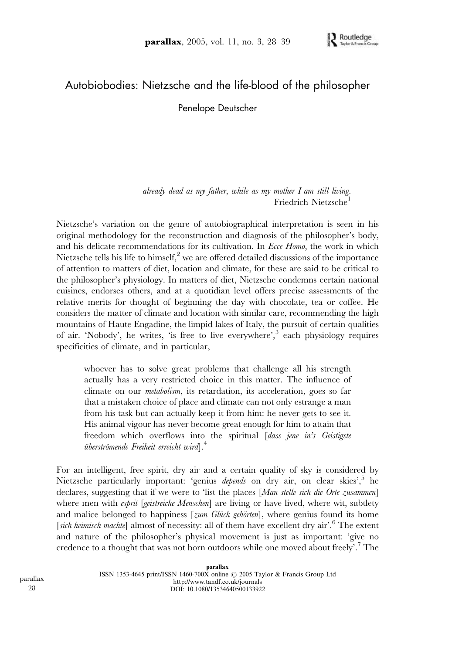

## Autobiobodies: Nietzsche and the life-blood of the philosopher

Penelope Deutscher

## already dead as my father, while as my mother  $I$  am still living. Friedrich Nietzsche<sup>1</sup>

Nietzsche's variation on the genre of autobiographical interpretation is seen in his original methodology for the reconstruction and diagnosis of the philosopher's body, and his delicate recommendations for its cultivation. In *Ecce Homo*, the work in which Nietzsche tells his life to himself, $2$  we are offered detailed discussions of the importance of attention to matters of diet, location and climate, for these are said to be critical to the philosopher's physiology. In matters of diet, Nietzsche condemns certain national cuisines, endorses others, and at a quotidian level offers precise assessments of the relative merits for thought of beginning the day with chocolate, tea or coffee. He considers the matter of climate and location with similar care, recommending the high mountains of Haute Engadine, the limpid lakes of Italy, the pursuit of certain qualities of air. 'Nobody', he writes, 'is free to live everywhere', $3$  each physiology requires specificities of climate, and in particular,

whoever has to solve great problems that challenge all his strength actually has a very restricted choice in this matter. The influence of climate on our metabolism, its retardation, its acceleration, goes so far that a mistaken choice of place and climate can not only estrange a man from his task but can actually keep it from him: he never gets to see it. His animal vigour has never become great enough for him to attain that freedom which overflows into the spiritual *[dass jene in's Geistigste*  $\ddot{\psi}$ uberströmende Freiheit erreicht wird $\int_{0}^{4}$ 

For an intelligent, free spirit, dry air and a certain quality of sky is considered by Nietzsche particularly important: 'genius *depends* on dry air, on clear skies',<sup>5</sup> he declares, suggesting that if we were to 'list the places [Man stelle sich die Orte zusammen] where men with *esprit* [*geistreiche Menschen*] are living or have lived, where wit, subtlety and malice belonged to happiness  $[zum Glück gehörten]$ , where genius found its home [sich heimisch machte] almost of necessity: all of them have excellent dry air'.<sup>6</sup> The extent and nature of the philosopher's physical movement is just as important: 'give no credence to a thought that was not born outdoors while one moved about freely'.<sup>7</sup> The

> parallax ISSN 1353-4645 print/ISSN 1460-700 $\vec{X}$  online  $\odot$  2005 Taylor & Francis Group Ltd http://www.tandf.co.uk/journals DOI: 10.1080/13534640500133922

parallax 28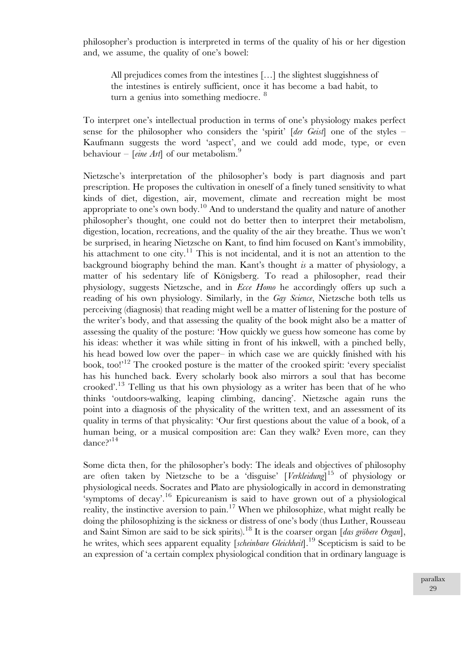philosopher's production is interpreted in terms of the quality of his or her digestion and, we assume, the quality of one's bowel:

All prejudices comes from the intestines […] the slightest sluggishness of the intestines is entirely sufficient, once it has become a bad habit, to turn a genius into something mediocre. <sup>8</sup>

To interpret one's intellectual production in terms of one's physiology makes perfect sense for the philosopher who considers the 'spirit'  $[der Geist]$  one of the styles – Kaufmann suggests the word 'aspect', and we could add mode, type, or even behaviour – [eine Art] of our metabolism.<sup>9</sup>

Nietzsche's interpretation of the philosopher's body is part diagnosis and part prescription. He proposes the cultivation in oneself of a finely tuned sensitivity to what kinds of diet, digestion, air, movement, climate and recreation might be most appropriate to one's own body.<sup>10</sup> And to understand the quality and nature of another philosopher's thought, one could not do better then to interpret their metabolism, digestion, location, recreations, and the quality of the air they breathe. Thus we won't be surprised, in hearing Nietzsche on Kant, to find him focused on Kant's immobility, his attachment to one city.<sup>11</sup> This is not incidental, and it is not an attention to the background biography behind the man. Kant's thought is a matter of physiology, a matter of his sedentary life of Königsberg. To read a philosopher, read their physiology, suggests Nietzsche, and in Ecce Homo he accordingly offers up such a reading of his own physiology. Similarly, in the *Gay Science*, Nietzsche both tells us perceiving (diagnosis) that reading might well be a matter of listening for the posture of the writer's body, and that assessing the quality of the book might also be a matter of assessing the quality of the posture: 'How quickly we guess how someone has come by his ideas: whether it was while sitting in front of his inkwell, with a pinched belly, his head bowed low over the paper– in which case we are quickly finished with his book, too!<sup>'12</sup> The crooked posture is the matter of the crooked spirit: 'every specialist has his hunched back. Every scholarly book also mirrors a soul that has become crooked'.<sup>13</sup> Telling us that his own physiology as a writer has been that of he who thinks 'outdoors-walking, leaping climbing, dancing'. Nietzsche again runs the point into a diagnosis of the physicality of the written text, and an assessment of its quality in terms of that physicality: 'Our first questions about the value of a book, of a human being, or a musical composition are: Can they walk? Even more, can they  $dance$ ?,14

Some dicta then, for the philosopher's body: The ideals and objectives of philosophy are often taken by Nietzsche to be a 'disguise' [Verkleidung]<sup>15</sup> of physiology or physiological needs. Socrates and Plato are physiologically in accord in demonstrating 'symptoms of decay'.<sup>16</sup> Epicureanism is said to have grown out of a physiological reality, the instinctive aversion to pain.<sup>17</sup> When we philosophize, what might really be doing the philosophizing is the sickness or distress of one's body (thus Luther, Rousseau and Saint Simon are said to be sick spirits).<sup>18</sup> It is the coarser organ *[das gröbere Organ*], he writes, which sees apparent equality [scheinbare Gleichheit].<sup>19</sup> Scepticism is said to be an expression of 'a certain complex physiological condition that in ordinary language is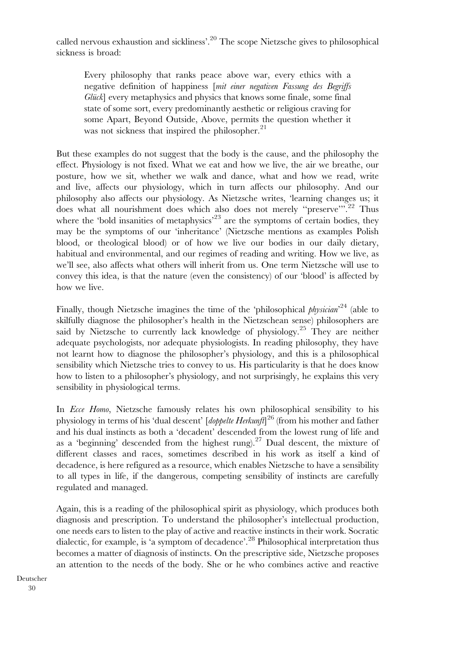called nervous exhaustion and sickliness'.<sup>20</sup> The scope Nietzsche gives to philosophical sickness is broad:

Every philosophy that ranks peace above war, every ethics with a negative definition of happiness [mit einer negativen Fassung des Begriffs  $Gliick$ ] every metaphysics and physics that knows some finale, some final state of some sort, every predominantly aesthetic or religious craving for some Apart, Beyond Outside, Above, permits the question whether it was not sickness that inspired the philosopher. $^{21}$ 

But these examples do not suggest that the body is the cause, and the philosophy the effect. Physiology is not fixed. What we eat and how we live, the air we breathe, our posture, how we sit, whether we walk and dance, what and how we read, write and live, affects our physiology, which in turn affects our philosophy. And our philosophy also affects our physiology. As Nietzsche writes, 'learning changes us; it does what all nourishment does which also does not merely "preserve".<sup>22</sup> Thus where the 'bold insanities of metaphysics'<sup>23</sup> are the symptoms of certain bodies, they may be the symptoms of our 'inheritance' (Nietzsche mentions as examples Polish blood, or theological blood) or of how we live our bodies in our daily dietary, habitual and environmental, and our regimes of reading and writing. How we live, as we'll see, also affects what others will inherit from us. One term Nietzsche will use to convey this idea, is that the nature (even the consistency) of our 'blood' is affected by how we live.

Finally, though Nietzsche imagines the time of the 'philosophical *physician*<sup>24</sup> (able to skilfully diagnose the philosopher's health in the Nietzschean sense) philosophers are said by Nietzsche to currently lack knowledge of physiology.<sup>25</sup> They are neither adequate psychologists, nor adequate physiologists. In reading philosophy, they have not learnt how to diagnose the philosopher's physiology, and this is a philosophical sensibility which Nietzsche tries to convey to us. His particularity is that he does know how to listen to a philosopher's physiology, and not surprisingly, he explains this very sensibility in physiological terms.

In *Ecce Homo*, Nietzsche famously relates his own philosophical sensibility to his physiology in terms of his 'dual descent' [*doppelte Herkunft*] $^{26}$  (from his mother and father and his dual instincts as both a 'decadent' descended from the lowest rung of life and as a 'beginning' descended from the highest rung).<sup>27</sup> Dual descent, the mixture of different classes and races, sometimes described in his work as itself a kind of decadence, is here refigured as a resource, which enables Nietzsche to have a sensibility to all types in life, if the dangerous, competing sensibility of instincts are carefully regulated and managed.

Again, this is a reading of the philosophical spirit as physiology, which produces both diagnosis and prescription. To understand the philosopher's intellectual production, one needs ears to listen to the play of active and reactive instincts in their work. Socratic dialectic, for example, is 'a symptom of decadence'.<sup>28</sup> Philosophical interpretation thus becomes a matter of diagnosis of instincts. On the prescriptive side, Nietzsche proposes an attention to the needs of the body. She or he who combines active and reactive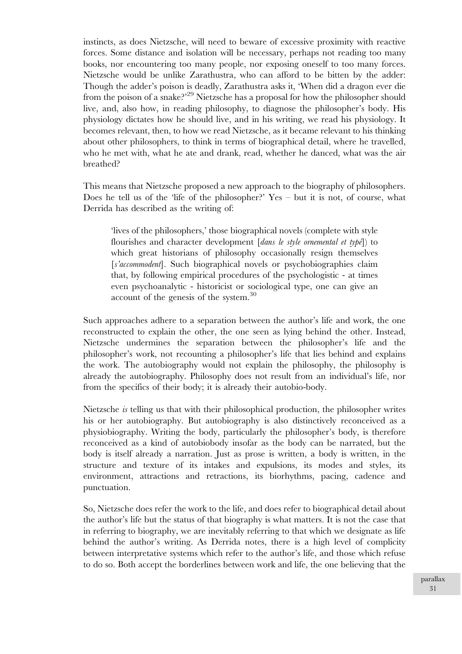instincts, as does Nietzsche, will need to beware of excessive proximity with reactive forces. Some distance and isolation will be necessary, perhaps not reading too many books, nor encountering too many people, nor exposing oneself to too many forces. Nietzsche would be unlike Zarathustra, who can afford to be bitten by the adder: Though the adder's poison is deadly, Zarathustra asks it, 'When did a dragon ever die from the poison of a snake?<sup>229</sup> Nietzsche has a proposal for how the philosopher should live, and, also how, in reading philosophy, to diagnose the philosopher's body. His physiology dictates how he should live, and in his writing, we read his physiology. It becomes relevant, then, to how we read Nietzsche, as it became relevant to his thinking about other philosophers, to think in terms of biographical detail, where he travelled, who he met with, what he ate and drank, read, whether he danced, what was the air breathed?

This means that Nietzsche proposed a new approach to the biography of philosophers. Does he tell us of the 'life of the philosopher?' Yes – but it is not, of course, what Derrida has described as the writing of:

'lives of the philosophers,' those biographical novels (complete with style flourishes and character development  $[dans \, \textit{le style' or} nemental \, \textit{et style']})$  to which great historians of philosophy occasionally resign themselves [s'accommodent]. Such biographical novels or psychobiographies claim that, by following empirical procedures of the psychologistic - at times even psychoanalytic - historicist or sociological type, one can give an account of the genesis of the system.<sup>30</sup>

Such approaches adhere to a separation between the author's life and work, the one reconstructed to explain the other, the one seen as lying behind the other. Instead, Nietzsche undermines the separation between the philosopher's life and the philosopher's work, not recounting a philosopher's life that lies behind and explains the work. The autobiography would not explain the philosophy, the philosophy is already the autobiography. Philosophy does not result from an individual's life, nor from the specifics of their body; it is already their autobio-body.

Nietzsche  $i<sub>s</sub>$  telling us that with their philosophical production, the philosopher writes his or her autobiography. But autobiography is also distinctively reconceived as a physiobiography. Writing the body, particularly the philosopher's body, is therefore reconceived as a kind of autobiobody insofar as the body can be narrated, but the body is itself already a narration. Just as prose is written, a body is written, in the structure and texture of its intakes and expulsions, its modes and styles, its environment, attractions and retractions, its biorhythms, pacing, cadence and punctuation.

So, Nietzsche does refer the work to the life, and does refer to biographical detail about the author's life but the status of that biography is what matters. It is not the case that in referring to biography, we are inevitably referring to that which we designate as life behind the author's writing. As Derrida notes, there is a high level of complicity between interpretative systems which refer to the author's life, and those which refuse to do so. Both accept the borderlines between work and life, the one believing that the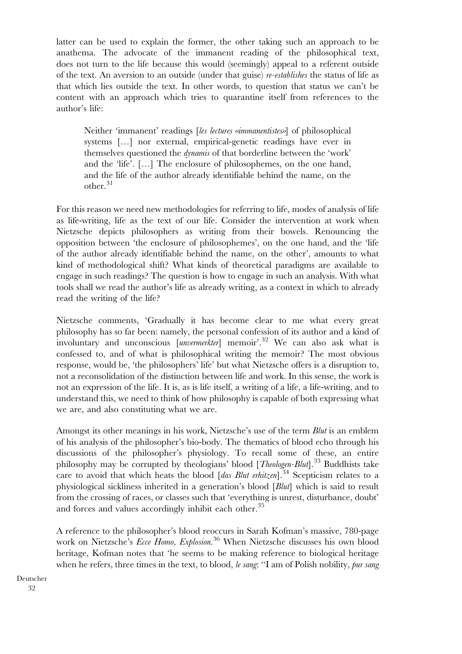latter can be used to explain the former, the other taking such an approach to be anathema. The advocate of the immanent reading of the philosophical text, does not turn to the life because this would (seemingly) appeal to a referent outside of the text. An aversion to an outside (under that guise) re-establishes the status of life as that which lies outside the text. In other words, to question that status we can't be content with an approach which tries to quarantine itself from references to the author's life:

Neither 'immanent' readings [les lectures «immanentistes»] of philosophical systems […] nor external, empirical-genetic readings have ever in themselves questioned the dynamis of that borderline between the 'work' and the 'life'. […] The enclosure of philosophemes, on the one hand, and the life of the author already identifiable behind the name, on the other.<sup>31</sup>

For this reason we need new methodologies for referring to life, modes of analysis of life as life-writing, life as the text of our life. Consider the intervention at work when Nietzsche depicts philosophers as writing from their bowels. Renouncing the opposition between 'the enclosure of philosophemes', on the one hand, and the 'life of the author already identifiable behind the name, on the other', amounts to what kind of methodological shift? What kinds of theoretical paradigms are available to engage in such readings? The question is how to engage in such an analysis. With what tools shall we read the author's life as already writing, as a context in which to already read the writing of the life?

Nietzsche comments, 'Gradually it has become clear to me what every great philosophy has so far been: namely, the personal confession of its author and a kind of involuntary and unconscious [*unvermerkter*] memoir<sup>2,32</sup> We can also ask what is confessed to, and of what is philosophical writing the memoir? The most obvious response, would be, 'the philosophers' life' but what Nietzsche offers is a disruption to, not a reconsolidation of the distinction between life and work. In this sense, the work is not an expression of the life. It is, as is life itself, a writing of a life, a life-writing, and to understand this, we need to think of how philosophy is capable of both expressing what we are, and also constituting what we are.

Amongst its other meanings in his work, Nietzsche's use of the term Blut is an emblem of his analysis of the philosopher's bio-body. The thematics of blood echo through his discussions of the philosopher's physiology. To recall some of these, an entire philosophy may be corrupted by theologians' blood  $[The\text{N}$ <sup>33</sup> Buddhists take care to avoid that which heats the blood  $\left[ \frac{das}{H} \right]$  Blut erhitzen].<sup>34</sup> Scepticism relates to a physiological sickliness inherited in a generation's blood [Blut] which is said to result from the crossing of races, or classes such that 'everything is unrest, disturbance, doubt' and forces and values accordingly inhibit each other.<sup>35</sup>

A reference to the philosopher's blood reoccurs in Sarah Kofman's massive, 780-page work on Nietzsche's *Ecce Homo, Explosion*.<sup>36</sup> When Nietzsche discusses his own blood heritage, Kofman notes that 'he seems to be making reference to biological heritage when he refers, three times in the text, to blood, le sang: "I am of Polish nobility, pur sang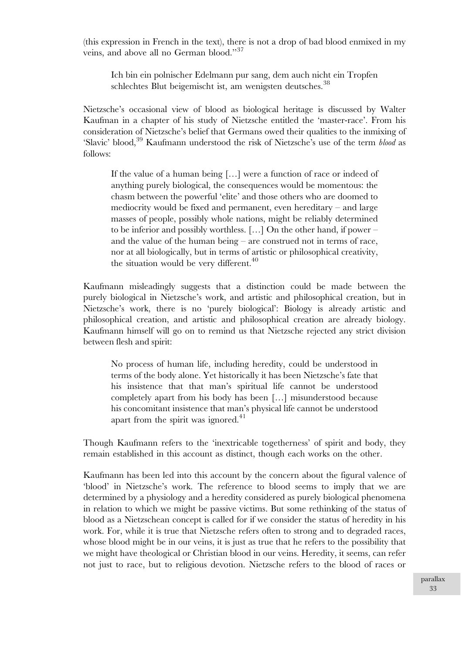(this expression in French in the text), there is not a drop of bad blood enmixed in my veins, and above all no German blood."37

Ich bin ein polnischer Edelmann pur sang, dem auch nicht ein Tropfen schlechtes Blut beigemischt ist, am wenigsten deutsches.<sup>38</sup>

Nietzsche's occasional view of blood as biological heritage is discussed by Walter Kaufman in a chapter of his study of Nietzsche entitled the 'master-race'. From his consideration of Nietzsche's belief that Germans owed their qualities to the inmixing of 'Slavic' blood,<sup>39</sup> Kaufmann understood the risk of Nietzsche's use of the term blood as follows:

If the value of a human being […] were a function of race or indeed of anything purely biological, the consequences would be momentous: the chasm between the powerful 'elite' and those others who are doomed to mediocrity would be fixed and permanent, even hereditary – and large masses of people, possibly whole nations, might be reliably determined to be inferior and possibly worthless. […] On the other hand, if power – and the value of the human being – are construed not in terms of race, nor at all biologically, but in terms of artistic or philosophical creativity, the situation would be very different. $40$ 

Kaufmann misleadingly suggests that a distinction could be made between the purely biological in Nietzsche's work, and artistic and philosophical creation, but in Nietzsche's work, there is no 'purely biological': Biology is already artistic and philosophical creation, and artistic and philosophical creation are already biology. Kaufmann himself will go on to remind us that Nietzsche rejected any strict division between flesh and spirit:

No process of human life, including heredity, could be understood in terms of the body alone. Yet historically it has been Nietzsche's fate that his insistence that that man's spiritual life cannot be understood completely apart from his body has been […] misunderstood because his concomitant insistence that man's physical life cannot be understood apart from the spirit was ignored. $41$ 

Though Kaufmann refers to the 'inextricable togetherness' of spirit and body, they remain established in this account as distinct, though each works on the other.

Kaufmann has been led into this account by the concern about the figural valence of 'blood' in Nietzsche's work. The reference to blood seems to imply that we are determined by a physiology and a heredity considered as purely biological phenomena in relation to which we might be passive victims. But some rethinking of the status of blood as a Nietzschean concept is called for if we consider the status of heredity in his work. For, while it is true that Nietzsche refers often to strong and to degraded races, whose blood might be in our veins, it is just as true that he refers to the possibility that we might have theological or Christian blood in our veins. Heredity, it seems, can refer not just to race, but to religious devotion. Nietzsche refers to the blood of races or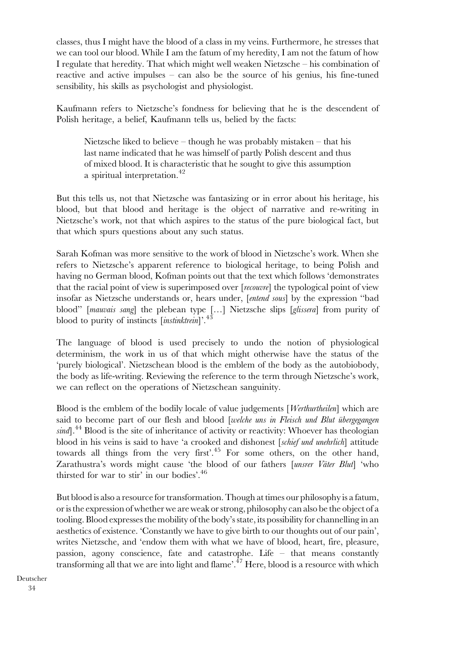classes, thus I might have the blood of a class in my veins. Furthermore, he stresses that we can tool our blood. While I am the fatum of my heredity, I am not the fatum of how I regulate that heredity. That which might well weaken Nietzsche – his combination of reactive and active impulses – can also be the source of his genius, his fine-tuned sensibility, his skills as psychologist and physiologist.

Kaufmann refers to Nietzsche's fondness for believing that he is the descendent of Polish heritage, a belief, Kaufmann tells us, belied by the facts:

Nietzsche liked to believe – though he was probably mistaken – that his last name indicated that he was himself of partly Polish descent and thus of mixed blood. It is characteristic that he sought to give this assumption a spiritual interpretation.<sup>42</sup>

But this tells us, not that Nietzsche was fantasizing or in error about his heritage, his blood, but that blood and heritage is the object of narrative and re-writing in Nietzsche's work, not that which aspires to the status of the pure biological fact, but that which spurs questions about any such status.

Sarah Kofman was more sensitive to the work of blood in Nietzsche's work. When she refers to Nietzsche's apparent reference to biological heritage, to being Polish and having no German blood, Kofman points out that the text which follows 'demonstrates that the racial point of view is superimposed over [recouvre] the typological point of view insofar as Nietzsche understands or, hears under, [entend sous] by the expression ''bad blood'' [mauvais sang] the plebean type […] Nietzsche slips [glissera] from purity of blood to purity of instincts  $[institut in]$ <sup>13</sup>

The language of blood is used precisely to undo the notion of physiological determinism, the work in us of that which might otherwise have the status of the 'purely biological'. Nietzschean blood is the emblem of the body as the autobiobody, the body as life-writing. Reviewing the reference to the term through Nietzsche's work, we can reflect on the operations of Nietzschean sanguinity.

Blood is the emblem of the bodily locale of value judgements [Werthurtheilen] which are said to become part of our flesh and blood [welche uns in Fleisch und Blut übergegangen  $sin d$ .<sup>44</sup> Blood is the site of inheritance of activity or reactivity: Whoever has theologian blood in his veins is said to have 'a crooked and dishonest [schief und unehrlich] attitude towards all things from the very first'.<sup>45</sup> For some others, on the other hand, Zarathustra's words might cause 'the blood of our fathers [*unsrer Väter Blut*] 'who thirsted for war to stir' in our bodies'.<sup>46</sup>

But blood is also a resource for transformation. Though at times our philosophy is a fatum, or is the expression of whether we are weak or strong, philosophy can also be the object of a tooling. Blood expresses the mobility of the body's state, its possibility for channelling in an aesthetics of existence. 'Constantly we have to give birth to our thoughts out of our pain', writes Nietzsche, and 'endow them with what we have of blood, heart, fire, pleasure, passion, agony conscience, fate and catastrophe. Life – that means constantly transforming all that we are into light and flame'.<sup> $\frac{4}{7}$ </sup> Here, blood is a resource with which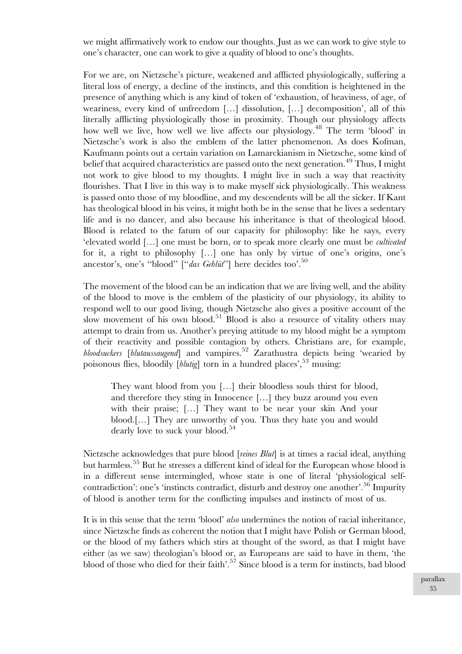we might affirmatively work to endow our thoughts. Just as we can work to give style to one's character, one can work to give a quality of blood to one's thoughts.

For we are, on Nietzsche's picture, weakened and afflicted physiologically, suffering a literal loss of energy, a decline of the instincts, and this condition is heightened in the presence of anything which is any kind of token of 'exhaustion, of heaviness, of age, of weariness, every kind of unfreedom […] dissolution, […] decomposition', all of this literally afflicting physiologically those in proximity. Though our physiology affects how well we live, how well we live affects our physiology.<sup>48</sup> The term 'blood' in Nietzsche's work is also the emblem of the latter phenomenon. As does Kofman, Kaufmann points out a certain variation on Lamarckianism in Nietzsche, some kind of belief that acquired characteristics are passed onto the next generation.<sup>49</sup> Thus, I might not work to give blood to my thoughts. I might live in such a way that reactivity flourishes. That I live in this way is to make myself sick physiologically. This weakness is passed onto those of my bloodline, and my descendents will be all the sicker. If Kant has theological blood in his veins, it might both be in the sense that he lives a sedentary life and is no dancer, and also because his inheritance is that of theological blood. Blood is related to the fatum of our capacity for philosophy: like he says, every 'elevated world […] one must be born, or to speak more clearly one must be cultivated for it, a right to philosophy […] one has only by virtue of one's origins, one's ancestor's, one's "blood" ["das Geblüt"] here decides too'.<sup>50</sup>

The movement of the blood can be an indication that we are living well, and the ability of the blood to move is the emblem of the plasticity of our physiology, its ability to respond well to our good living, though Nietzsche also gives a positive account of the slow movement of his own blood.<sup>51</sup> Blood is also a resource of vitality others may attempt to drain from us. Another's preying attitude to my blood might be a symptom of their reactivity and possible contagion by others. Christians are, for example, bloodsuckers [blutaussaugend] and vampires.<sup>52</sup> Zarathustra depicts being 'wearied by poisonous flies, bloodily [blutig] torn in a hundred places', <sup>53</sup> musing:

They want blood from you […] their bloodless souls thirst for blood, and therefore they sting in Innocence […] they buzz around you even with their praise; […] They want to be near your skin And your blood.[…] They are unworthy of you. Thus they hate you and would dearly love to suck your blood.<sup>54</sup>

Nietzsche acknowledges that pure blood [reines Blut] is at times a racial ideal, anything but harmless.<sup>55</sup> But he stresses a different kind of ideal for the European whose blood is in a different sense intermingled, whose state is one of literal 'physiological selfcontradiction': one's 'instincts contradict, disturb and destroy one another'.<sup>56</sup> Impurity of blood is another term for the conflicting impulses and instincts of most of us.

It is in this sense that the term 'blood' also undermines the notion of racial inheritance, since Nietzsche finds as coherent the notion that I might have Polish or German blood, or the blood of my fathers which stirs at thought of the sword, as that I might have either (as we saw) theologian's blood or, as Europeans are said to have in them, 'the blood of those who died for their faith'.<sup>57</sup> Since blood is a term for instincts, bad blood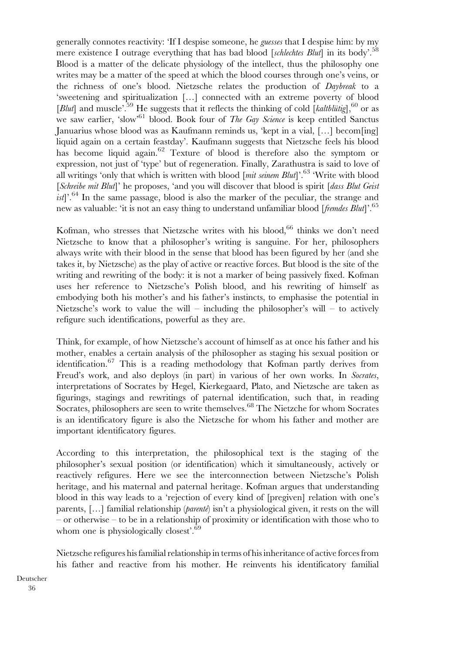generally connotes reactivity: 'If I despise someone, he guesses that I despise him: by my mere existence I outrage everything that has bad blood [schlechtes Blut] in its body'.<sup>58</sup> Blood is a matter of the delicate physiology of the intellect, thus the philosophy one writes may be a matter of the speed at which the blood courses through one's veins, or the richness of one's blood. Nietzsche relates the production of Daybreak to a 'sweetening and spiritualization […] connected with an extreme poverty of blood [Blut] and muscle<sup>'.59</sup> He suggests that it reflects the thinking of cold [kaltblütig],<sup>60</sup> or as we saw earlier, 'slow'<sup>61</sup> blood. Book four of *The Gay Science* is keep entitled Sanctus Januarius whose blood was as Kaufmann reminds us, 'kept in a vial, […] becom[ing] liquid again on a certain feastday'. Kaufmann suggests that Nietzsche feels his blood has become liquid again.<sup>62</sup> Texture of blood is therefore also the symptom or expression, not just of 'type' but of regeneration. Finally, Zarathustra is said to love of all writings 'only that which is written with blood  $\left[mit\;seinem\;Blut\right]$ '.<sup>63</sup> 'Write with blood [Schreibe mit Blut]' he proposes, 'and you will discover that blood is spirit [dass Blut Geist ist]<sup>'.64</sup> In the same passage, blood is also the marker of the peculiar, the strange and new as valuable: 'it is not an easy thing to understand unfamiliar blood [fremdes Blut]'.<sup>65</sup>

Kofman, who stresses that Nietzsche writes with his blood, $66$  thinks we don't need Nietzsche to know that a philosopher's writing is sanguine. For her, philosophers always write with their blood in the sense that blood has been figured by her (and she takes it, by Nietzsche) as the play of active or reactive forces. But blood is the site of the writing and rewriting of the body: it is not a marker of being passively fixed. Kofman uses her reference to Nietzsche's Polish blood, and his rewriting of himself as embodying both his mother's and his father's instincts, to emphasise the potential in Nietzsche's work to value the will – including the philosopher's will – to actively refigure such identifications, powerful as they are.

Think, for example, of how Nietzsche's account of himself as at once his father and his mother, enables a certain analysis of the philosopher as staging his sexual position or identification.<sup>67</sup> This is a reading methodology that Kofman partly derives from Freud's work, and also deploys (in part) in various of her own works. In Socrates, interpretations of Socrates by Hegel, Kierkegaard, Plato, and Nietzsche are taken as figurings, stagings and rewritings of paternal identification, such that, in reading Socrates, philosophers are seen to write themselves.<sup>68</sup> The Nietzche for whom Socrates is an identificatory figure is also the Nietzsche for whom his father and mother are important identificatory figures.

According to this interpretation, the philosophical text is the staging of the philosopher's sexual position (or identification) which it simultaneously, actively or reactively refigures. Here we see the interconnection between Nietzsche's Polish heritage, and his maternal and paternal heritage. Kofman argues that understanding blood in this way leads to a 'rejection of every kind of [pregiven] relation with one's parents,  $[\dots]$  familial relationship (*parente*) isn't a physiological given, it rests on the will – or otherwise – to be in a relationship of proximity or identification with those who to whom one is physiologically closest'.<sup>69</sup>

Nietzsche refigures his familial relationship in terms of his inheritance of active forces from his father and reactive from his mother. He reinvents his identificatory familial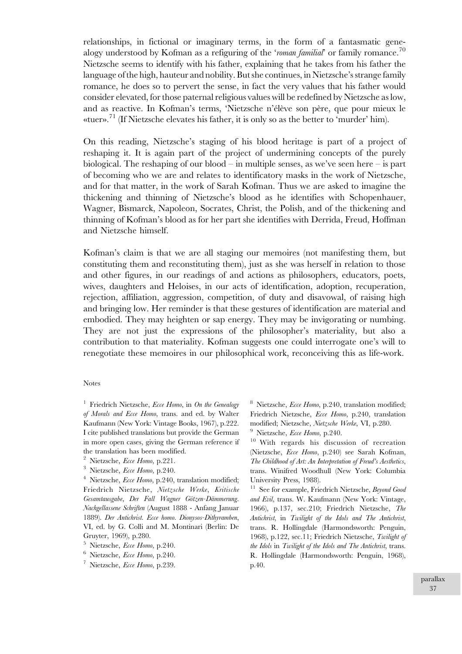relationships, in fictional or imaginary terms, in the form of a fantasmatic genealogy understood by Kofman as a refiguring of the 'roman familial' or family romance.<sup>70</sup> Nietzsche seems to identify with his father, explaining that he takes from his father the language of the high, hauteur and nobility. But she continues, in Nietzsche's strange family romance, he does so to pervert the sense, in fact the very values that his father would consider elevated, for those paternal religious values will be redefined by Nietzsche as low, and as reactive. In Kofman's terms, 'Nietzsche n'élève son père, que pour mieux le «tuer».<sup>71</sup> (If Nietzsche elevates his father, it is only so as the better to 'murder' him).

On this reading, Nietzsche's staging of his blood heritage is part of a project of reshaping it. It is again part of the project of undermining concepts of the purely biological. The reshaping of our blood – in multiple senses, as we've seen here – is part of becoming who we are and relates to identificatory masks in the work of Nietzsche, and for that matter, in the work of Sarah Kofman. Thus we are asked to imagine the thickening and thinning of Nietzsche's blood as he identifies with Schopenhauer, Wagner, Bismarck, Napoleon, Socrates, Christ, the Polish, and of the thickening and thinning of Kofman's blood as for her part she identifies with Derrida, Freud, Hoffman and Nietzsche himself.

Kofman's claim is that we are all staging our memoires (not manifesting them, but constituting them and reconstituting them), just as she was herself in relation to those and other figures, in our readings of and actions as philosophers, educators, poets, wives, daughters and Heloises, in our acts of identification, adoption, recuperation, rejection, affiliation, aggression, competition, of duty and disavowal, of raising high and bringing low. Her reminder is that these gestures of identification are material and embodied. They may heighten or sap energy. They may be invigorating or numbing. They are not just the expressions of the philosopher's materiality, but also a contribution to that materiality. Kofman suggests one could interrogate one's will to renegotiate these memoires in our philosophical work, reconceiving this as life-work.

## Notes

 $8$  Nietzsche, *Ecce Homo*, p. 240, translation modified; Friedrich Nietzsche, Ecce Homo, p.240, translation modified; Nietzsche, Nietzsche Werke, VI, p.280.

 $9$  Nietzsche, *Ecce Homo*, p.240.

<sup>10</sup> With regards his discussion of recreation (Nietzsche, Ecce Homo, p.240) see Sarah Kofman, The Childhood of Art: An Interpretation of Freud's Aesthetics, trans. Winifred Woodhull (New York: Columbia University Press, 1988).

<sup>11</sup> See for example, Friedrich Nietzsche, Beyond Good and Evil, trans. W. Kaufmann (New York: Vintage, 1966), p.137, sec.210; Friedrich Nietzsche, The Antichrist, in Twilight of the Idols and The Antichrist, trans. R. Hollingdale (Harmondsworth: Penguin, 1968), p.122, sec.11; Friedrich Nietzsche, Twilight of the Idols in Twilight of the Idols and The Antichrist, trans. R. Hollingdale (Harmondsworth: Penguin, 1968), p.40.

<sup>&</sup>lt;sup>1</sup> Friedrich Nietzsche, *Ecce Homo*, in On the Genealogy of Morals and Ecce Homo, trans. and ed. by Walter Kaufmann (New York: Vintage Books, 1967), p.222. I cite published translations but provide the German in more open cases, giving the German reference if the translation has been modified.

<sup>&</sup>lt;sup>2</sup> Nietzsche, *Ecce Homo*, p.221.

 $3$  Nietzsche, *Ecce Homo*, p.240.

 $4$  Nietzsche, *Ecce Homo*, p.240, translation modified; Friedrich Nietzsche, Nietzsche Werke, Kritische Gesamtausgabe, Der Fall Wagner Götzen-Dämmerung. Nachgellassene Schriften (August 1888 - Anfang Januar 1889). Der Antichrist. Ecce homo. Dionysos-Dithyramben, VI, ed. by G. Colli and M. Montinari (Berlin: De Gruyter, 1969), p.280.

 $<sup>5</sup>$  Nietzsche, *Ecce Homo*, p.240.</sup>

 $6$  Nietzsche, *Ecce Homo*, p.240.

<sup>7</sup> Nietzsche, Ecce Homo, p.239.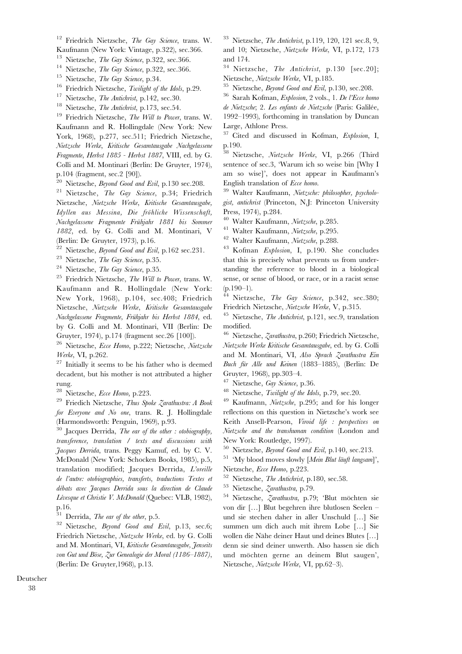<sup>12</sup> Friedrich Nietzsche, *The Gay Science*, trans. W. Kaufmann (New York: Vintage, p.322), sec.366.

- $13$  Nietzsche, *The Gay Science*, p.322, sec.366.
- <sup>14</sup> Nietzsche, *The Gay Science*, p.322, sec.366.
- $15$  Nietzsche, The Gay Science, p.34.
- $16$  Friedrich Nietzsche, Twilight of the Idols, p.29.
- <sup>17</sup> Nietzsche, *The Antichrist*, p.142, sec.30.
- <sup>18</sup> Nietzsche, *The Antichrist*, p.173, sec.54.

<sup>19</sup> Friedrich Nietzsche, *The Will to Power*, trans. W. Kaufmann and R. Hollingdale (New York: New York, 1968), p.277, sec.511; Friedrich Nietzsche, Nietzsche Werke, Kritische Gesamtausgabe Nachgelassene Fragmente, Herbst 1885 - Herbst 1887, VIII, ed. by G. Colli and M. Montinari (Berlin: De Gruyter, 1974), p.104 (fragment, sec.2 [90]).

 $^{20}$  Nietzsche, Beyond Good and Evil, p.130 sec.208.

<sup>21</sup> Nietzsche, *The Gay Science*, p.34; Friedrich Nietzsche, Nietzsche Werke, Kritische Gesamtausgabe, Idyllen aus Messina, Die fröhliche Wissenschaft, Nachgelassene Fragmente Frühjahr 1881 bis Sommer 1882, ed. by G. Colli and M. Montinari, V (Berlin: De Gruyter, 1973), p.16.

<sup>22</sup> Nietzsche, Beyond Good and Evil, p.162 sec.231.

 $23$  Nietzsche, The Gay Science, p.35.

<sup>24</sup> Nietzsche, *The Gay Science*, p.35.

<sup>25</sup> Friedrich Nietzsche, The Will to Power, trans. W. Kaufmann and R. Hollingdale (New York: New York, 1968), p.104, sec.408; Friedrich Nietzsche, Nietzsche Werke, Kritische Gesamtausgabe Nachgelassene Fragmente, Frühjahr bis Herbst 1884, ed. by G. Colli and M. Montinari, VII (Berlin: De Gruyter, 1974), p.174 (fragment sec.26 [100]).

<sup>26</sup> Nietzsche, Ecce Homo, p.222; Nietzsche, Nietzsche Werke, VI, p.262.

 $27$  Initially it seems to be his father who is deemed decadent, but his mother is not attributed a higher rung.

 $28$  Nietzsche, *Ecce Homo*, p.223.

<sup>29</sup> Friedich Nietzsche, Thus Spoke Zarathustra: A Book for Everyone and No one, trans. R. J. Hollingdale (Harmondsworth: Penguin, 1969), p.93.

 $30$  Jacques Derrida, The ear of the other : otobiography, transference, translation / texts and discussions with Jacques Derrida, trans. Peggy Kamuf, ed. by C. V. McDonald (New York: Schocken Books, 1985), p.5, translation modified; Jacques Derrida, L'oreille de l'autre: otobiographies, transferts, traductions Textes et débats avec Jacques Derrida sous la direction de Claude Lévesque et Christie V. McDonald (Quebec: VLB, 1982), p.16.

 $31$  Derrida, The ear of the other, p.5.

<sup>32</sup> Nietzsche, Beyond Good and Evil, p.13, sec.6; Friedrich Nietzsche, Nietzsche Werke, ed. by G. Colli and M. Montinari, VI, Kritische Gesamtausgabe, Jenseits von Gut und Böse, Zur Genealogie der Moral (1186–1887), (Berlin: De Gruyter,1968), p.13.

 $33$  Nietzsche, *The Antichrist*, p.119, 120, 121 sec.8, 9, and 10; Nietzsche, Nietzsche Werke, VI, p.172, 173 and 174.

 $34$  Nietzsche, The Antichrist, p.130 [sec.20]; Nietzsche, Nietzsche Werke, VI, p.185.

 $35$  Nietzsche, *Beyond Good and Evil*, p.130, sec. 208.

<sup>36</sup> Sarah Kofman, Explosion, 2 vols., 1. De l'Ecce homo

de Nietzsche; 2. Les enfants de Nietzsche (Paris: Galilée, 1992–1993), forthcoming in translation by Duncan Large, Athlone Press.

<sup>37</sup> Cited and discussed in Kofman, Explosion, I, p.190.

38 Nietzsche, Nietzsche Werke, VI, p.266 (Third sentence of sec.3, 'Warum ich so weise bin [Why I am so wise]', does not appear in Kaufmann's English translation of *Ecce homo*.<br> $^{39}$  M<sub>2</sub> Henry Konference Mistraches

<sup>39</sup> Walter Kaufmann, Nietzsche: philosopher, psychologist, antichrist (Princeton, N.J: Princeton University Press, 1974), p.284.

<sup>40</sup> Walter Kaufmann, Nietzsche, p.285.

<sup>41</sup> Walter Kaufmann, Nietzsche, p.295.

<sup>42</sup> Walter Kaufmann, Nietzsche, p.288.

<sup>43</sup> Kofman Explosion, I, p.190. She concludes that this is precisely what prevents us from understanding the reference to blood in a biological sense, or sense of blood, or race, or in a racist sense (p.190–1).

 $^{44}$  Nietzsche, The Gay Science, p.342, sec.380; Friedrich Nietzsche, Nietzsche Werke, V, p.315.

 $45$  Nietzsche, *The Antichrist*, p.121, sec.9, translation modified.

<sup>46</sup> Nietzsche, *Zarathustra*, p.260; Friedrich Nietzsche, Nietzsche Werke Kritische Gesamtausgabe, ed. by G. Colli and M. Montinari, VI, Also Sprach Zarathustra Ein Buch für Alle und Keinen (1883–1885), (Berlin: De Gruyter, 1968), pp.303–4.

<sup>47</sup> Nietzsche, Gay Science, p.36.

<sup>48</sup> Nietzsche, Twilight of the Idols, p.79, sec.20.

<sup>49</sup> Kaufmann, *Nietzsche*, p.295; and for his longer reflections on this question in Nietzsche's work see Keith Ansell-Pearson, Viroid life : perspectives on Nietzsche and the transhuman condition (London and New York: Routledge, 1997).

 $50$  Nietzsche, *Beyond Good and Evil*, p.140, sec. 213.

 $51$  'My blood moves slowly [Mein Blut läuft langsam]', Nietzsche, Ecce Homo, p.223.

 $52$  Nietzsche, The Antichrist, p.180, sec.58.

<sup>53</sup> Nietzsche, Zarathustra, p.79.

 $^{54}$  Nietzsche, *Zarathustra*, p.79; 'Blut möchten sie von dir […] Blut begehren ihre blutlosen Seelen – und sie stechen daher in aller Unschuld […] Sie summen um dich auch mit ihrem Lobe […] Sie wollen die Nähe deiner Haut und deines Blutes [...] denn sie sind deiner unwerth. Also hassen sie dich und möchten gerne an deinem Blut saugen', Nietzsche, Nietzsche Werke, VI, pp.62–3).